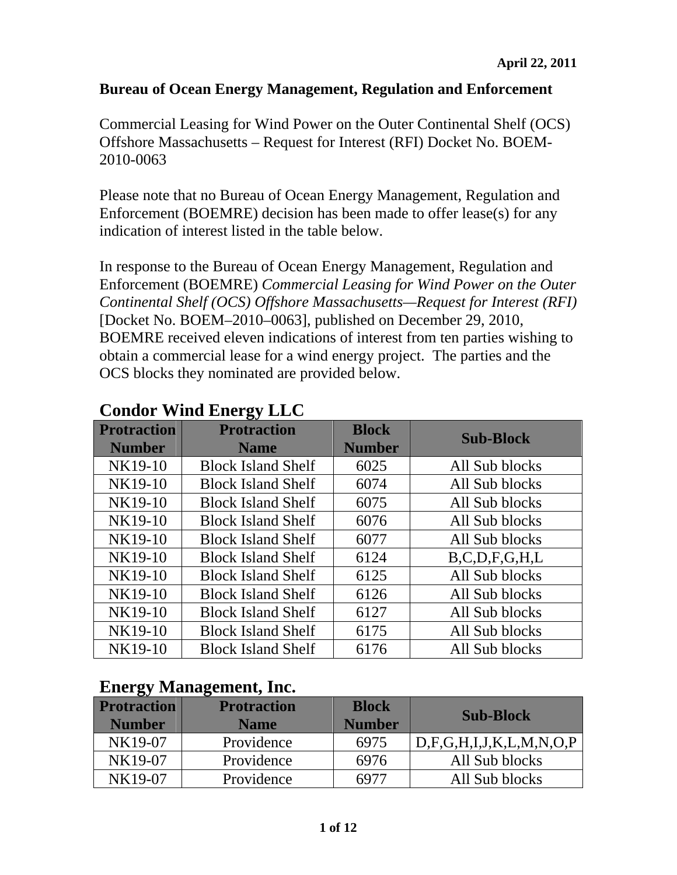#### **Bureau of Ocean Energy Management, Regulation and Enforcement**

Commercial Leasing for Wind Power on the Outer Continental Shelf (OCS) Offshore Massachusetts – Request for Interest (RFI) Docket No. BOEM-2010-0063

Please note that no Bureau of Ocean Energy Management, Regulation and Enforcement (BOEMRE) decision has been made to offer lease(s) for any indication of interest listed in the table below.

In response to the Bureau of Ocean Energy Management, Regulation and Enforcement (BOEMRE) *Commercial Leasing for Wind Power on the Outer Continental Shelf (OCS) Offshore Massachusetts—Request for Interest (RFI)*  [Docket No. BOEM–2010–0063], published on December 29, 2010, BOEMRE received eleven indications of interest from ten parties wishing to obtain a commercial lease for a wind energy project. The parties and the OCS blocks they nominated are provided below.

| <b>Protraction</b><br><b>Number</b> | ~<br><b>Protraction</b><br><b>Name</b> | <b>Block</b><br><b>Number</b> | <b>Sub-Block</b>    |
|-------------------------------------|----------------------------------------|-------------------------------|---------------------|
| NK19-10                             | <b>Block Island Shelf</b>              | 6025                          | All Sub blocks      |
| NK19-10                             | <b>Block Island Shelf</b>              | 6074                          | All Sub blocks      |
| NK19-10                             | <b>Block Island Shelf</b>              | 6075                          | All Sub blocks      |
| NK19-10                             | <b>Block Island Shelf</b>              | 6076                          | All Sub blocks      |
| NK19-10                             | <b>Block Island Shelf</b>              | 6077                          | All Sub blocks      |
| NK19-10                             | <b>Block Island Shelf</b>              | 6124                          | B, C, D, F, G, H, L |
| NK19-10                             | <b>Block Island Shelf</b>              | 6125                          | All Sub blocks      |
| NK19-10                             | <b>Block Island Shelf</b>              | 6126                          | All Sub blocks      |
| NK19-10                             | <b>Block Island Shelf</b>              | 6127                          | All Sub blocks      |
| NK19-10                             | <b>Block Island Shelf</b>              | 6175                          | All Sub blocks      |
| NK19-10                             | <b>Block Island Shelf</b>              | 6176                          | All Sub blocks      |

#### **Condor Wind Energy LLC**

#### **Energy Management, Inc.**

| <b>Protraction</b><br><b>Number</b> | <b>Protraction</b><br><b>Name</b> | <b>Block</b><br><b>Number</b> | <b>Sub-Block</b>                   |
|-------------------------------------|-----------------------------------|-------------------------------|------------------------------------|
| NK19-07                             | Providence                        | 6975                          | D, F, G, H, I, J, K, L, M, N, O, P |
| NK19-07                             | Providence                        | 6976                          | All Sub blocks                     |
| NK19-07                             | Providence                        |                               | All Sub blocks                     |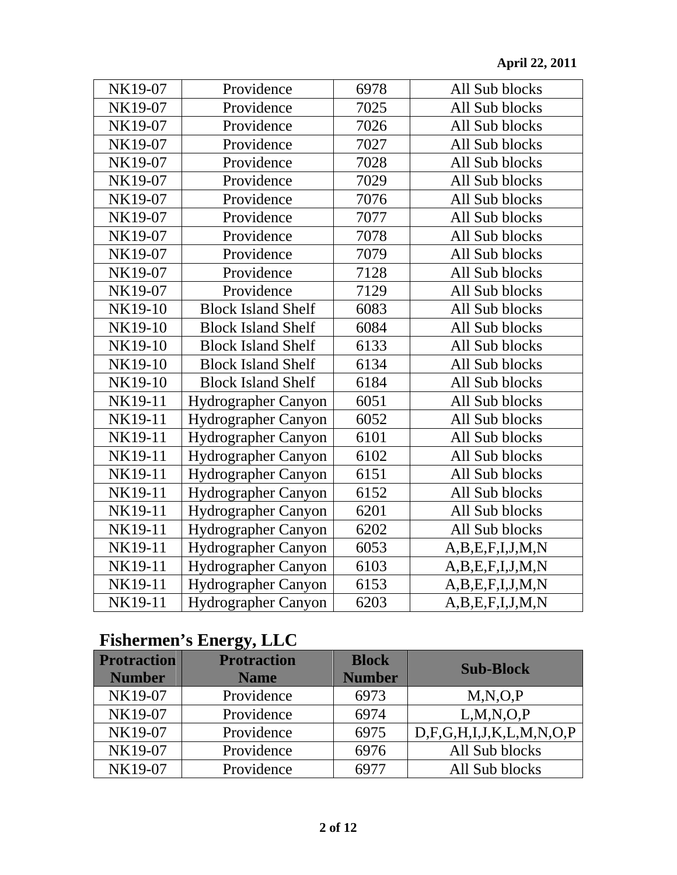| NK19-07 | Providence                 | 6978 | All Sub blocks  |
|---------|----------------------------|------|-----------------|
| NK19-07 | Providence                 | 7025 | All Sub blocks  |
| NK19-07 | Providence                 | 7026 | All Sub blocks  |
| NK19-07 | Providence                 | 7027 | All Sub blocks  |
| NK19-07 | Providence                 | 7028 | All Sub blocks  |
| NK19-07 | Providence                 | 7029 | All Sub blocks  |
| NK19-07 | Providence                 | 7076 | All Sub blocks  |
| NK19-07 | Providence                 | 7077 | All Sub blocks  |
| NK19-07 | Providence                 | 7078 | All Sub blocks  |
| NK19-07 | Providence                 | 7079 | All Sub blocks  |
| NK19-07 | Providence                 | 7128 | All Sub blocks  |
| NK19-07 | Providence                 | 7129 | All Sub blocks  |
| NK19-10 | <b>Block Island Shelf</b>  | 6083 | All Sub blocks  |
| NK19-10 | <b>Block Island Shelf</b>  | 6084 | All Sub blocks  |
| NK19-10 | <b>Block Island Shelf</b>  | 6133 | All Sub blocks  |
| NK19-10 | <b>Block Island Shelf</b>  | 6134 | All Sub blocks  |
| NK19-10 | <b>Block Island Shelf</b>  | 6184 | All Sub blocks  |
| NK19-11 | <b>Hydrographer Canyon</b> | 6051 | All Sub blocks  |
| NK19-11 | Hydrographer Canyon        | 6052 | All Sub blocks  |
| NK19-11 | Hydrographer Canyon        | 6101 | All Sub blocks  |
| NK19-11 | Hydrographer Canyon        | 6102 | All Sub blocks  |
| NK19-11 | Hydrographer Canyon        | 6151 | All Sub blocks  |
| NK19-11 | Hydrographer Canyon        | 6152 | All Sub blocks  |
| NK19-11 | Hydrographer Canyon        | 6201 | All Sub blocks  |
| NK19-11 | Hydrographer Canyon        | 6202 | All Sub blocks  |
| NK19-11 | Hydrographer Canyon        | 6053 | A,B,E,F,I,J,M,N |
| NK19-11 | Hydrographer Canyon        | 6103 | A,B,E,F,I,J,M,N |
| NK19-11 | Hydrographer Canyon        | 6153 | A,B,E,F,I,J,M,N |
| NK19-11 | Hydrographer Canyon        | 6203 | A,B,E,F,I,J,M,N |

# **Fishermen's Energy, LLC**

| <b>Protraction</b><br><b>Number</b> | $\sim$<br><b>Protraction</b><br><b>Name</b> | <b>Block</b><br><b>Number</b> | <b>Sub-Block</b>                   |
|-------------------------------------|---------------------------------------------|-------------------------------|------------------------------------|
| NK19-07                             | Providence                                  | 6973                          | M, N, O, P                         |
| NK19-07                             | Providence                                  | 6974                          | L, M, N, O, P                      |
| NK19-07                             | Providence                                  | 6975                          | D, F, G, H, I, J, K, L, M, N, O, P |
| NK19-07                             | Providence                                  | 6976                          | All Sub blocks                     |
| NK19-07                             | Providence                                  | 6977                          | All Sub blocks                     |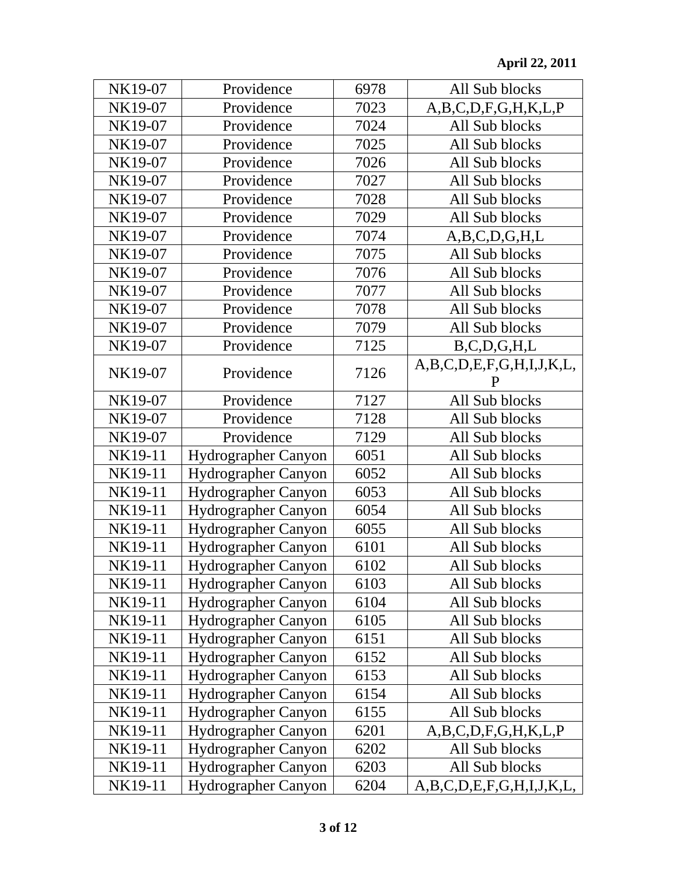| NK19-07 | Providence                 | 6978 | All Sub blocks                |
|---------|----------------------------|------|-------------------------------|
| NK19-07 | Providence                 | 7023 | A,B,C,D,F,G,H,K,L,P           |
| NK19-07 | Providence                 | 7024 | All Sub blocks                |
| NK19-07 | Providence                 | 7025 | All Sub blocks                |
| NK19-07 | Providence                 | 7026 | All Sub blocks                |
| NK19-07 | Providence                 | 7027 | All Sub blocks                |
| NK19-07 | Providence                 | 7028 | All Sub blocks                |
| NK19-07 | Providence                 | 7029 | All Sub blocks                |
| NK19-07 | Providence                 | 7074 | A,B,C,D,G,H,L                 |
| NK19-07 | Providence                 | 7075 | All Sub blocks                |
| NK19-07 | Providence                 | 7076 | All Sub blocks                |
| NK19-07 | Providence                 | 7077 | All Sub blocks                |
| NK19-07 | Providence                 | 7078 | All Sub blocks                |
| NK19-07 | Providence                 | 7079 | All Sub blocks                |
| NK19-07 | Providence                 | 7125 | B, C, D, G, H, L              |
| NK19-07 | Providence                 | 7126 | A,B,C,D,E,F,G,H,I,J,K,L,<br>P |
| NK19-07 | Providence                 | 7127 | All Sub blocks                |
| NK19-07 | Providence                 | 7128 | All Sub blocks                |
| NK19-07 | Providence                 | 7129 | All Sub blocks                |
| NK19-11 | Hydrographer Canyon        | 6051 | All Sub blocks                |
| NK19-11 | <b>Hydrographer Canyon</b> | 6052 | All Sub blocks                |
| NK19-11 | Hydrographer Canyon        | 6053 | All Sub blocks                |
| NK19-11 | <b>Hydrographer Canyon</b> | 6054 | All Sub blocks                |
| NK19-11 | <b>Hydrographer Canyon</b> | 6055 | All Sub blocks                |
| NK19-11 | <b>Hydrographer Canyon</b> | 6101 | All Sub blocks                |
| NK19-11 | Hydrographer Canyon        | 6102 | All Sub blocks                |
| NK19-11 | Hydrographer Canyon        | 6103 | All Sub blocks                |
| NK19-11 | <b>Hydrographer Canyon</b> | 6104 | All Sub blocks                |
| NK19-11 | <b>Hydrographer Canyon</b> | 6105 | All Sub blocks                |
| NK19-11 | <b>Hydrographer Canyon</b> | 6151 | All Sub blocks                |
| NK19-11 | <b>Hydrographer Canyon</b> | 6152 | All Sub blocks                |
| NK19-11 | <b>Hydrographer Canyon</b> | 6153 | All Sub blocks                |
| NK19-11 | <b>Hydrographer Canyon</b> | 6154 | All Sub blocks                |
| NK19-11 | <b>Hydrographer Canyon</b> | 6155 | All Sub blocks                |
| NK19-11 | Hydrographer Canyon        | 6201 | A,B,C,D,F,G,H,K,L,P           |
| NK19-11 | <b>Hydrographer Canyon</b> | 6202 | All Sub blocks                |
| NK19-11 | <b>Hydrographer Canyon</b> | 6203 | All Sub blocks                |
| NK19-11 | <b>Hydrographer Canyon</b> | 6204 | A,B,C,D,E,F,G,H,I,J,K,L,      |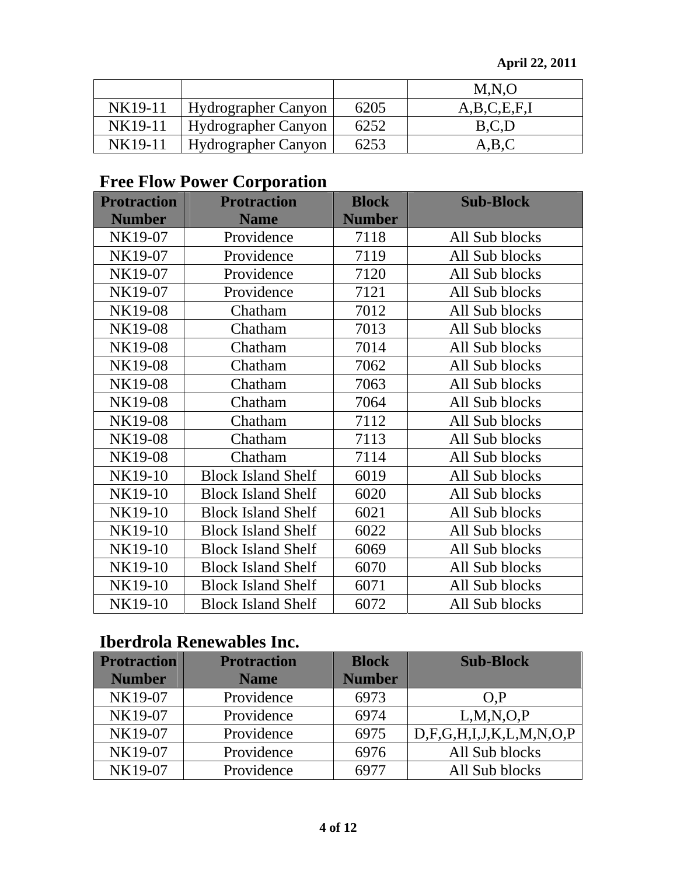|         |                            |      | M,N,O            |
|---------|----------------------------|------|------------------|
| NK19-11 | Hydrographer Canyon        | 6205 | A, B, C, E, F, I |
| NK19-11 | Hydrographer Canyon        | 6252 | B.C.L            |
| NK19-11 | <b>Hydrographer Canyon</b> | 6253 | A,B,C            |

# **Free Flow Power Corporation**

| <b>Protraction</b> | <b>Protraction</b>        | <b>Block</b>  | <b>Sub-Block</b> |
|--------------------|---------------------------|---------------|------------------|
| <b>Number</b>      | <b>Name</b>               | <b>Number</b> |                  |
| NK19-07            | Providence                | 7118          | All Sub blocks   |
| NK19-07            | Providence                | 7119          | All Sub blocks   |
| NK19-07            | Providence                | 7120          | All Sub blocks   |
| NK19-07            | Providence                | 7121          | All Sub blocks   |
| NK19-08            | Chatham                   | 7012          | All Sub blocks   |
| NK19-08            | Chatham                   | 7013          | All Sub blocks   |
| NK19-08            | Chatham                   | 7014          | All Sub blocks   |
| NK19-08            | Chatham                   | 7062          | All Sub blocks   |
| NK19-08            | Chatham                   | 7063          | All Sub blocks   |
| NK19-08            | Chatham                   | 7064          | All Sub blocks   |
| NK19-08            | Chatham                   | 7112          | All Sub blocks   |
| NK19-08            | Chatham                   | 7113          | All Sub blocks   |
| NK19-08            | Chatham                   | 7114          | All Sub blocks   |
| NK19-10            | <b>Block Island Shelf</b> | 6019          | All Sub blocks   |
| NK19-10            | <b>Block Island Shelf</b> | 6020          | All Sub blocks   |
| NK19-10            | <b>Block Island Shelf</b> | 6021          | All Sub blocks   |
| NK19-10            | <b>Block Island Shelf</b> | 6022          | All Sub blocks   |
| NK19-10            | <b>Block Island Shelf</b> | 6069          | All Sub blocks   |
| NK19-10            | <b>Block Island Shelf</b> | 6070          | All Sub blocks   |
| NK19-10            | <b>Block Island Shelf</b> | 6071          | All Sub blocks   |
| NK19-10            | <b>Block Island Shelf</b> | 6072          | All Sub blocks   |

# **Iberdrola Renewables Inc.**

| <b>Protraction</b> | <b>Protraction</b> | <b>Block</b>  | <b>Sub-Block</b>                   |
|--------------------|--------------------|---------------|------------------------------------|
| <b>Number</b>      | <b>Name</b>        | <b>Number</b> |                                    |
| NK19-07            | Providence         | 6973          | O.P                                |
| NK19-07            | Providence         | 6974          | L, M, N, O, P                      |
| NK19-07            | Providence         | 6975          | D, F, G, H, I, J, K, L, M, N, O, P |
| NK19-07            | Providence         | 6976          | All Sub blocks                     |
| NK19-07            | Providence         |               | All Sub blocks                     |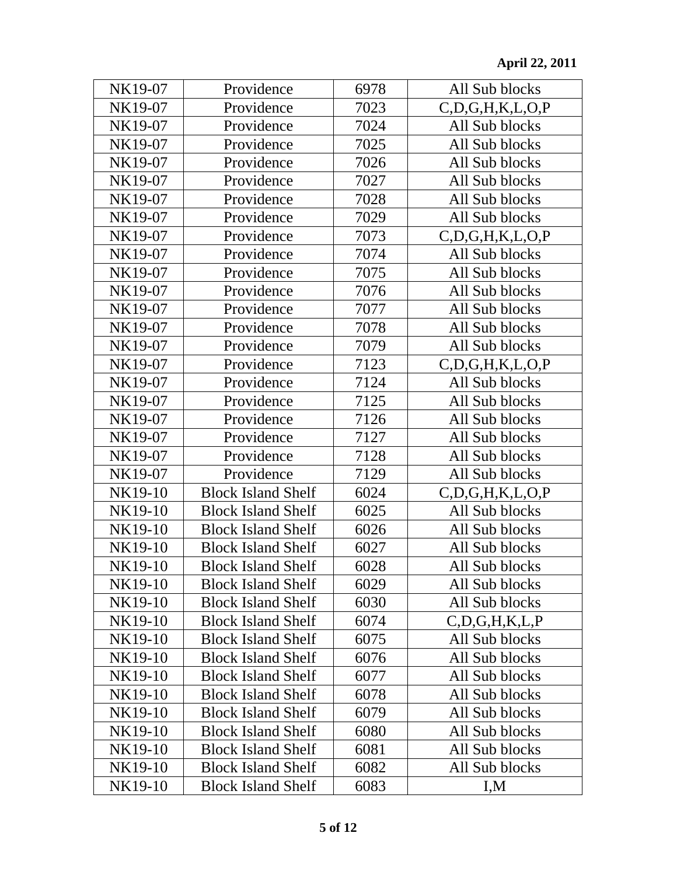| NK19-07 | Providence                | 6978 | All Sub blocks         |
|---------|---------------------------|------|------------------------|
| NK19-07 | Providence                | 7023 | C, D, G, H, K, L, O, P |
| NK19-07 | Providence                | 7024 | All Sub blocks         |
| NK19-07 | Providence                | 7025 | All Sub blocks         |
| NK19-07 | Providence                | 7026 | All Sub blocks         |
| NK19-07 | Providence                | 7027 | All Sub blocks         |
| NK19-07 | Providence                | 7028 | All Sub blocks         |
| NK19-07 | Providence                | 7029 | All Sub blocks         |
| NK19-07 | Providence                | 7073 | C, D, G, H, K, L, O, P |
| NK19-07 | Providence                | 7074 | All Sub blocks         |
| NK19-07 | Providence                | 7075 | All Sub blocks         |
| NK19-07 | Providence                | 7076 | All Sub blocks         |
| NK19-07 | Providence                | 7077 | All Sub blocks         |
| NK19-07 | Providence                | 7078 | All Sub blocks         |
| NK19-07 | Providence                | 7079 | All Sub blocks         |
| NK19-07 | Providence                | 7123 | C.D.G.H.K.L.O.P        |
| NK19-07 | Providence                | 7124 | All Sub blocks         |
| NK19-07 | Providence                | 7125 | All Sub blocks         |
| NK19-07 | Providence                | 7126 | All Sub blocks         |
| NK19-07 | Providence                | 7127 | All Sub blocks         |
| NK19-07 | Providence                | 7128 | All Sub blocks         |
| NK19-07 | Providence                | 7129 | All Sub blocks         |
| NK19-10 | <b>Block Island Shelf</b> | 6024 | C, D, G, H, K, L, O, P |
| NK19-10 | <b>Block Island Shelf</b> | 6025 | All Sub blocks         |
| NK19-10 | <b>Block Island Shelf</b> | 6026 | All Sub blocks         |
| NK19-10 | <b>Block Island Shelf</b> | 6027 | All Sub blocks         |
| NK19-10 | <b>Block Island Shelf</b> | 6028 | All Sub blocks         |
| NK19-10 | <b>Block Island Shelf</b> | 6029 | All Sub blocks         |
| NK19-10 | <b>Block Island Shelf</b> | 6030 | All Sub blocks         |
| NK19-10 | <b>Block Island Shelf</b> | 6074 | C, D, G, H, K, L, P    |
| NK19-10 | <b>Block Island Shelf</b> | 6075 | All Sub blocks         |
| NK19-10 | <b>Block Island Shelf</b> | 6076 | All Sub blocks         |
| NK19-10 | <b>Block Island Shelf</b> | 6077 | All Sub blocks         |
| NK19-10 | <b>Block Island Shelf</b> | 6078 | All Sub blocks         |
| NK19-10 | <b>Block Island Shelf</b> | 6079 | All Sub blocks         |
| NK19-10 | <b>Block Island Shelf</b> | 6080 | All Sub blocks         |
| NK19-10 | <b>Block Island Shelf</b> | 6081 | All Sub blocks         |
| NK19-10 | <b>Block Island Shelf</b> | 6082 | All Sub blocks         |
| NK19-10 | <b>Block Island Shelf</b> | 6083 | I,M                    |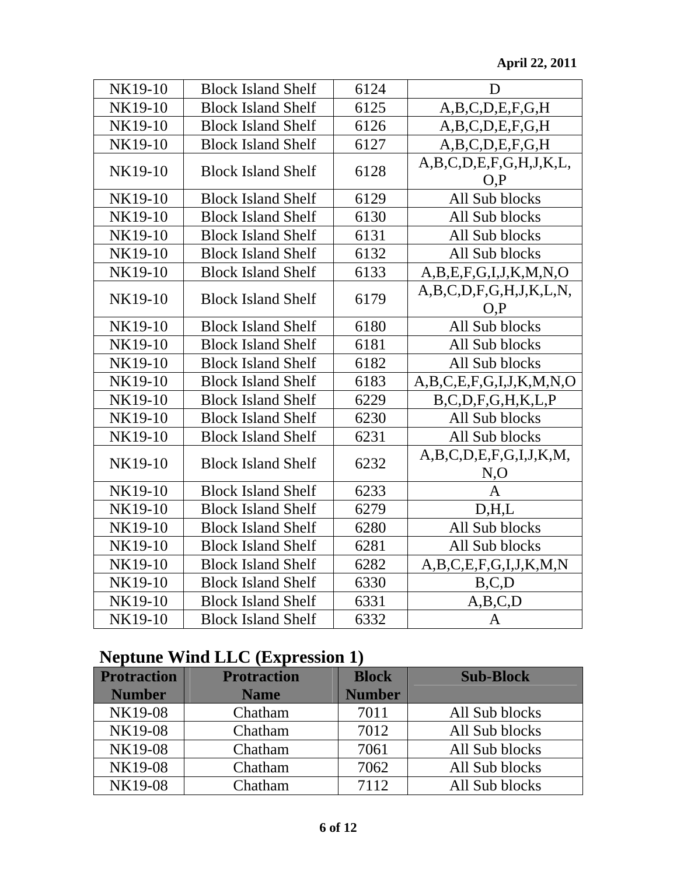| NK19-10 | <b>Block Island Shelf</b> | 6124 | D                                       |
|---------|---------------------------|------|-----------------------------------------|
| NK19-10 | <b>Block Island Shelf</b> | 6125 | A, B, C, D, E, F, G, H                  |
| NK19-10 | <b>Block Island Shelf</b> | 6126 | A, B, C, D, E, F, G, H                  |
| NK19-10 | <b>Block Island Shelf</b> | 6127 | A, B, C, D, E, F, G, H                  |
| NK19-10 | <b>Block Island Shelf</b> | 6128 | A,B,C,D,E,F,G,H,J,K,L,<br>O.P           |
| NK19-10 | <b>Block Island Shelf</b> | 6129 | All Sub blocks                          |
| NK19-10 | <b>Block Island Shelf</b> | 6130 | All Sub blocks                          |
| NK19-10 | <b>Block Island Shelf</b> | 6131 | All Sub blocks                          |
| NK19-10 | <b>Block Island Shelf</b> | 6132 | All Sub blocks                          |
| NK19-10 | <b>Block Island Shelf</b> | 6133 | A, B, E, F, G, I, J, K, M, N, O         |
| NK19-10 | <b>Block Island Shelf</b> | 6179 | A, B, C, D, F, G, H, J, K, L, N,<br>O.P |
| NK19-10 | <b>Block Island Shelf</b> | 6180 | All Sub blocks                          |
| NK19-10 | <b>Block Island Shelf</b> | 6181 | All Sub blocks                          |
| NK19-10 | <b>Block Island Shelf</b> | 6182 | All Sub blocks                          |
| NK19-10 | <b>Block Island Shelf</b> | 6183 | A,B,C,E,F,G,I,J,K,M,N,O                 |
| NK19-10 | <b>Block Island Shelf</b> | 6229 | B, C, D, F, G, H, K, L, P               |
| NK19-10 | <b>Block Island Shelf</b> | 6230 | All Sub blocks                          |
| NK19-10 | <b>Block Island Shelf</b> | 6231 | All Sub blocks                          |
| NK19-10 | <b>Block Island Shelf</b> | 6232 | A,B,C,D,E,F,G,I,J,K,M,<br>N, O          |
| NK19-10 | <b>Block Island Shelf</b> | 6233 | A                                       |
| NK19-10 | <b>Block Island Shelf</b> | 6279 | D, H, L                                 |
| NK19-10 | <b>Block Island Shelf</b> | 6280 | All Sub blocks                          |
| NK19-10 | <b>Block Island Shelf</b> | 6281 | All Sub blocks                          |
| NK19-10 | <b>Block Island Shelf</b> | 6282 | A, B, C, E, F, G, I, J, K, M, N         |
| NK19-10 | <b>Block Island Shelf</b> | 6330 | B, C, D                                 |
| NK19-10 | <b>Block Island Shelf</b> | 6331 | A,B,C,D                                 |
| NK19-10 | <b>Block Island Shelf</b> | 6332 | $\mathbf{A}$                            |

# **Neptune Wind LLC (Expression 1)**

| <b>Protraction</b> | <b>Protraction</b> | <b>Block</b>  | <b>Sub-Block</b> |
|--------------------|--------------------|---------------|------------------|
| <b>Number</b>      | <b>Name</b>        | <b>Number</b> |                  |
| NK19-08            | Chatham            | 7011          | All Sub blocks   |
| NK19-08            | Chatham            | 7012          | All Sub blocks   |
| NK19-08            | Chatham            | 7061          | All Sub blocks   |
| NK19-08            | Chatham            | 7062          | All Sub blocks   |
| NK19-08            | Chatham            | 7112          | All Sub blocks   |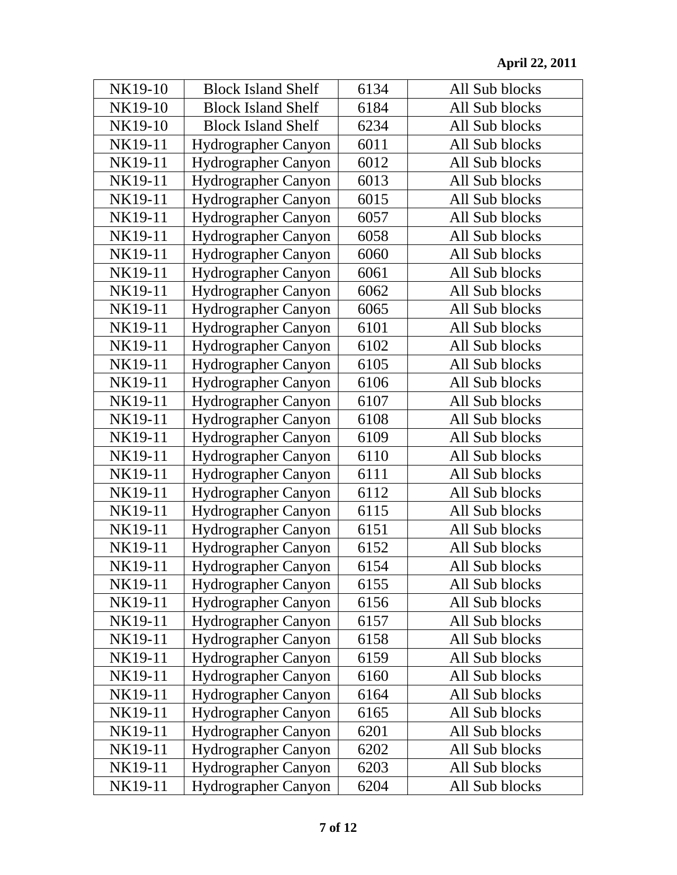| NK19-10 | <b>Block Island Shelf</b>  | 6134 | All Sub blocks |
|---------|----------------------------|------|----------------|
| NK19-10 | <b>Block Island Shelf</b>  | 6184 | All Sub blocks |
| NK19-10 | <b>Block Island Shelf</b>  | 6234 | All Sub blocks |
| NK19-11 | Hydrographer Canyon        | 6011 | All Sub blocks |
| NK19-11 | Hydrographer Canyon        | 6012 | All Sub blocks |
| NK19-11 | Hydrographer Canyon        | 6013 | All Sub blocks |
| NK19-11 | Hydrographer Canyon        | 6015 | All Sub blocks |
| NK19-11 | <b>Hydrographer Canyon</b> | 6057 | All Sub blocks |
| NK19-11 | Hydrographer Canyon        | 6058 | All Sub blocks |
| NK19-11 | <b>Hydrographer Canyon</b> | 6060 | All Sub blocks |
| NK19-11 | Hydrographer Canyon        | 6061 | All Sub blocks |
| NK19-11 | Hydrographer Canyon        | 6062 | All Sub blocks |
| NK19-11 | Hydrographer Canyon        | 6065 | All Sub blocks |
| NK19-11 | Hydrographer Canyon        | 6101 | All Sub blocks |
| NK19-11 | Hydrographer Canyon        | 6102 | All Sub blocks |
| NK19-11 | Hydrographer Canyon        | 6105 | All Sub blocks |
| NK19-11 | <b>Hydrographer Canyon</b> | 6106 | All Sub blocks |
| NK19-11 | Hydrographer Canyon        | 6107 | All Sub blocks |
| NK19-11 | Hydrographer Canyon        | 6108 | All Sub blocks |
| NK19-11 | Hydrographer Canyon        | 6109 | All Sub blocks |
| NK19-11 | Hydrographer Canyon        | 6110 | All Sub blocks |
| NK19-11 | Hydrographer Canyon        | 6111 | All Sub blocks |
| NK19-11 | Hydrographer Canyon        | 6112 | All Sub blocks |
| NK19-11 | Hydrographer Canyon        | 6115 | All Sub blocks |
| NK19-11 | Hydrographer Canyon        | 6151 | All Sub blocks |
| NK19-11 | Hydrographer Canyon        | 6152 | All Sub blocks |
| NK19-11 | <b>Hydrographer Canyon</b> | 6154 | All Sub blocks |
| NK19-11 | <b>Hydrographer Canyon</b> | 6155 | All Sub blocks |
| NK19-11 | Hydrographer Canyon        | 6156 | All Sub blocks |
| NK19-11 | Hydrographer Canyon        | 6157 | All Sub blocks |
| NK19-11 | <b>Hydrographer Canyon</b> | 6158 | All Sub blocks |
| NK19-11 | <b>Hydrographer Canyon</b> | 6159 | All Sub blocks |
| NK19-11 | Hydrographer Canyon        | 6160 | All Sub blocks |
| NK19-11 | <b>Hydrographer Canyon</b> | 6164 | All Sub blocks |
| NK19-11 | <b>Hydrographer Canyon</b> | 6165 | All Sub blocks |
| NK19-11 | <b>Hydrographer Canyon</b> | 6201 | All Sub blocks |
| NK19-11 | Hydrographer Canyon        | 6202 | All Sub blocks |
| NK19-11 | Hydrographer Canyon        | 6203 | All Sub blocks |
| NK19-11 | Hydrographer Canyon        | 6204 | All Sub blocks |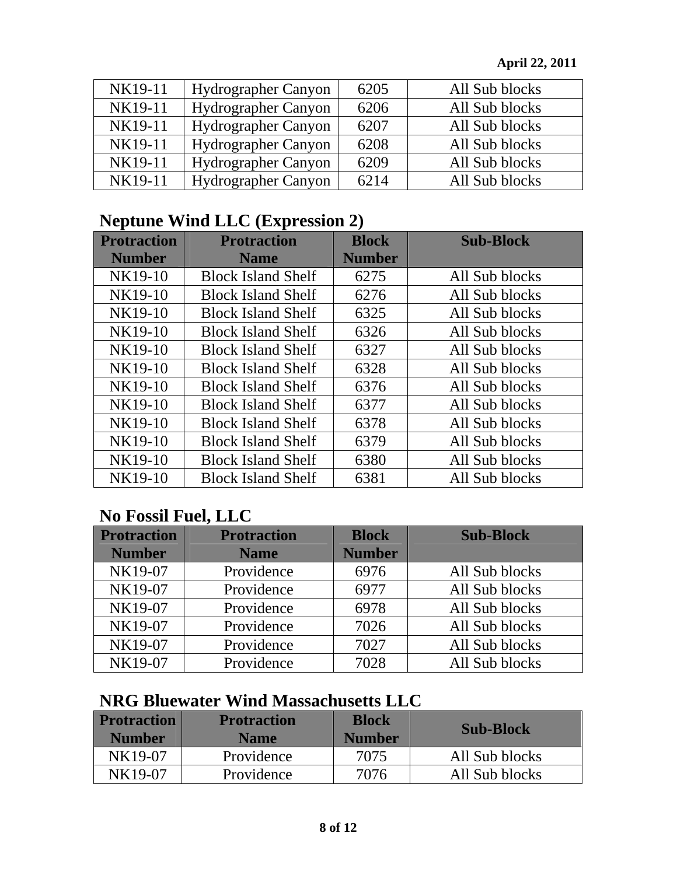| NK19-11 | Hydrographer Canyon        | 6205 | All Sub blocks |
|---------|----------------------------|------|----------------|
| NK19-11 | Hydrographer Canyon        | 6206 | All Sub blocks |
| NK19-11 | Hydrographer Canyon        | 6207 | All Sub blocks |
| NK19-11 | <b>Hydrographer Canyon</b> | 6208 | All Sub blocks |
| NK19-11 | Hydrographer Canyon        | 6209 | All Sub blocks |
| NK19-11 | Hydrographer Canyon        | 6214 | All Sub blocks |

### **Neptune Wind LLC (Expression 2)**

| <b>Protraction</b> | <b>Protraction</b>        | <b>Block</b>  | <b>Sub-Block</b> |
|--------------------|---------------------------|---------------|------------------|
| <b>Number</b>      | <b>Name</b>               | <b>Number</b> |                  |
| NK19-10            | <b>Block Island Shelf</b> | 6275          | All Sub blocks   |
| NK19-10            | <b>Block Island Shelf</b> | 6276          | All Sub blocks   |
| NK19-10            | <b>Block Island Shelf</b> | 6325          | All Sub blocks   |
| NK19-10            | <b>Block Island Shelf</b> | 6326          | All Sub blocks   |
| NK19-10            | <b>Block Island Shelf</b> | 6327          | All Sub blocks   |
| NK19-10            | <b>Block Island Shelf</b> | 6328          | All Sub blocks   |
| NK19-10            | <b>Block Island Shelf</b> | 6376          | All Sub blocks   |
| NK19-10            | <b>Block Island Shelf</b> | 6377          | All Sub blocks   |
| NK19-10            | <b>Block Island Shelf</b> | 6378          | All Sub blocks   |
| NK19-10            | <b>Block Island Shelf</b> | 6379          | All Sub blocks   |
| NK19-10            | <b>Block Island Shelf</b> | 6380          | All Sub blocks   |
| NK19-10            | <b>Block Island Shelf</b> | 6381          | All Sub blocks   |

### **No Fossil Fuel, LLC**

| <b>Protraction</b> | <b>Protraction</b> | <b>Block</b>  | <b>Sub-Block</b> |
|--------------------|--------------------|---------------|------------------|
| <b>Number</b>      | <b>Name</b>        | <b>Number</b> |                  |
| NK19-07            | Providence         | 6976          | All Sub blocks   |
| NK19-07            | Providence         | 6977          | All Sub blocks   |
| NK19-07            | Providence         | 6978          | All Sub blocks   |
| NK19-07            | Providence         | 7026          | All Sub blocks   |
| NK19-07            | Providence         | 7027          | All Sub blocks   |
| NK19-07            | Providence         | 7028          | All Sub blocks   |

### **NRG Bluewater Wind Massachusetts LLC**

| <b>Protraction</b><br><b>Number</b> | <b>Protraction</b><br><b>Name</b> | <b>Block</b><br><b>Number</b> | <b>Sub-Block</b> |
|-------------------------------------|-----------------------------------|-------------------------------|------------------|
| NK19-07                             | Providence                        | 7075                          | All Sub blocks   |
| NK19-07                             | Providence                        | 7076                          | All Sub blocks   |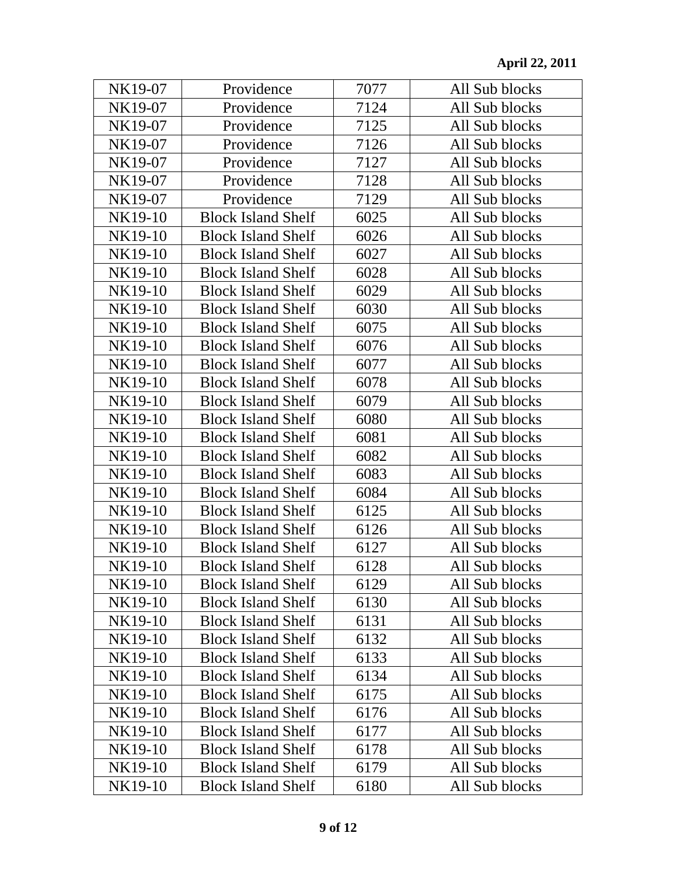| NK19-07 | Providence                | 7077 | All Sub blocks |
|---------|---------------------------|------|----------------|
| NK19-07 | Providence                | 7124 | All Sub blocks |
| NK19-07 | Providence                | 7125 | All Sub blocks |
| NK19-07 | Providence                | 7126 | All Sub blocks |
| NK19-07 | Providence                | 7127 | All Sub blocks |
| NK19-07 | Providence                | 7128 | All Sub blocks |
| NK19-07 | Providence                | 7129 | All Sub blocks |
| NK19-10 | <b>Block Island Shelf</b> | 6025 | All Sub blocks |
| NK19-10 | <b>Block Island Shelf</b> | 6026 | All Sub blocks |
| NK19-10 | <b>Block Island Shelf</b> | 6027 | All Sub blocks |
| NK19-10 | <b>Block Island Shelf</b> | 6028 | All Sub blocks |
| NK19-10 | <b>Block Island Shelf</b> | 6029 | All Sub blocks |
| NK19-10 | <b>Block Island Shelf</b> | 6030 | All Sub blocks |
| NK19-10 | <b>Block Island Shelf</b> | 6075 | All Sub blocks |
| NK19-10 | <b>Block Island Shelf</b> | 6076 | All Sub blocks |
| NK19-10 | <b>Block Island Shelf</b> | 6077 | All Sub blocks |
| NK19-10 | <b>Block Island Shelf</b> | 6078 | All Sub blocks |
| NK19-10 | <b>Block Island Shelf</b> | 6079 | All Sub blocks |
| NK19-10 | <b>Block Island Shelf</b> | 6080 | All Sub blocks |
| NK19-10 | <b>Block Island Shelf</b> | 6081 | All Sub blocks |
| NK19-10 | <b>Block Island Shelf</b> | 6082 | All Sub blocks |
| NK19-10 | <b>Block Island Shelf</b> | 6083 | All Sub blocks |
| NK19-10 | <b>Block Island Shelf</b> | 6084 | All Sub blocks |
| NK19-10 | <b>Block Island Shelf</b> | 6125 | All Sub blocks |
| NK19-10 | <b>Block Island Shelf</b> | 6126 | All Sub blocks |
| NK19-10 | <b>Block Island Shelf</b> | 6127 | All Sub blocks |
| NK19-10 | <b>Block Island Shelf</b> | 6128 | All Sub blocks |
| NK19-10 | <b>Block Island Shelf</b> | 6129 | All Sub blocks |
| NK19-10 | <b>Block Island Shelf</b> | 6130 | All Sub blocks |
| NK19-10 | <b>Block Island Shelf</b> | 6131 | All Sub blocks |
| NK19-10 | <b>Block Island Shelf</b> | 6132 | All Sub blocks |
| NK19-10 | <b>Block Island Shelf</b> | 6133 | All Sub blocks |
| NK19-10 | <b>Block Island Shelf</b> | 6134 | All Sub blocks |
| NK19-10 | <b>Block Island Shelf</b> | 6175 | All Sub blocks |
| NK19-10 | <b>Block Island Shelf</b> | 6176 | All Sub blocks |
| NK19-10 | <b>Block Island Shelf</b> | 6177 | All Sub blocks |
| NK19-10 | <b>Block Island Shelf</b> | 6178 | All Sub blocks |
| NK19-10 | <b>Block Island Shelf</b> | 6179 | All Sub blocks |
| NK19-10 | <b>Block Island Shelf</b> | 6180 | All Sub blocks |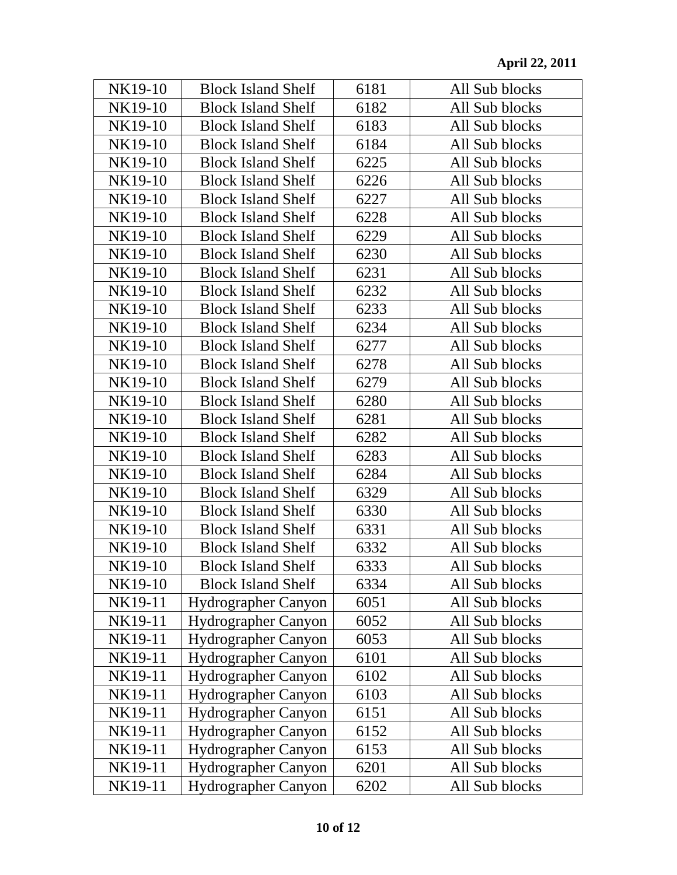| NK19-10 | <b>Block Island Shelf</b>  | 6181 | All Sub blocks |
|---------|----------------------------|------|----------------|
| NK19-10 | <b>Block Island Shelf</b>  | 6182 | All Sub blocks |
| NK19-10 | <b>Block Island Shelf</b>  | 6183 | All Sub blocks |
| NK19-10 | <b>Block Island Shelf</b>  | 6184 | All Sub blocks |
| NK19-10 | <b>Block Island Shelf</b>  | 6225 | All Sub blocks |
| NK19-10 | <b>Block Island Shelf</b>  | 6226 | All Sub blocks |
| NK19-10 | <b>Block Island Shelf</b>  | 6227 | All Sub blocks |
| NK19-10 | <b>Block Island Shelf</b>  | 6228 | All Sub blocks |
| NK19-10 | <b>Block Island Shelf</b>  | 6229 | All Sub blocks |
| NK19-10 | <b>Block Island Shelf</b>  | 6230 | All Sub blocks |
| NK19-10 | <b>Block Island Shelf</b>  | 6231 | All Sub blocks |
| NK19-10 | <b>Block Island Shelf</b>  | 6232 | All Sub blocks |
| NK19-10 | <b>Block Island Shelf</b>  | 6233 | All Sub blocks |
| NK19-10 | <b>Block Island Shelf</b>  | 6234 | All Sub blocks |
| NK19-10 | <b>Block Island Shelf</b>  | 6277 | All Sub blocks |
| NK19-10 | <b>Block Island Shelf</b>  | 6278 | All Sub blocks |
| NK19-10 | <b>Block Island Shelf</b>  | 6279 | All Sub blocks |
| NK19-10 | <b>Block Island Shelf</b>  | 6280 | All Sub blocks |
| NK19-10 | <b>Block Island Shelf</b>  | 6281 | All Sub blocks |
| NK19-10 | <b>Block Island Shelf</b>  | 6282 | All Sub blocks |
| NK19-10 | <b>Block Island Shelf</b>  | 6283 | All Sub blocks |
| NK19-10 | <b>Block Island Shelf</b>  | 6284 | All Sub blocks |
| NK19-10 | <b>Block Island Shelf</b>  | 6329 | All Sub blocks |
| NK19-10 | <b>Block Island Shelf</b>  | 6330 | All Sub blocks |
| NK19-10 | <b>Block Island Shelf</b>  | 6331 | All Sub blocks |
| NK19-10 | <b>Block Island Shelf</b>  | 6332 | All Sub blocks |
| NK19-10 | <b>Block Island Shelf</b>  | 6333 | All Sub blocks |
| NK19-10 | <b>Block Island Shelf</b>  | 6334 | All Sub blocks |
| NK19-11 | <b>Hydrographer Canyon</b> | 6051 | All Sub blocks |
| NK19-11 | <b>Hydrographer Canyon</b> | 6052 | All Sub blocks |
| NK19-11 | Hydrographer Canyon        | 6053 | All Sub blocks |
| NK19-11 | <b>Hydrographer Canyon</b> | 6101 | All Sub blocks |
| NK19-11 | Hydrographer Canyon        | 6102 | All Sub blocks |
| NK19-11 | <b>Hydrographer Canyon</b> | 6103 | All Sub blocks |
| NK19-11 | <b>Hydrographer Canyon</b> | 6151 | All Sub blocks |
| NK19-11 | <b>Hydrographer Canyon</b> | 6152 | All Sub blocks |
| NK19-11 | Hydrographer Canyon        | 6153 | All Sub blocks |
| NK19-11 | <b>Hydrographer Canyon</b> | 6201 | All Sub blocks |
| NK19-11 | Hydrographer Canyon        | 6202 | All Sub blocks |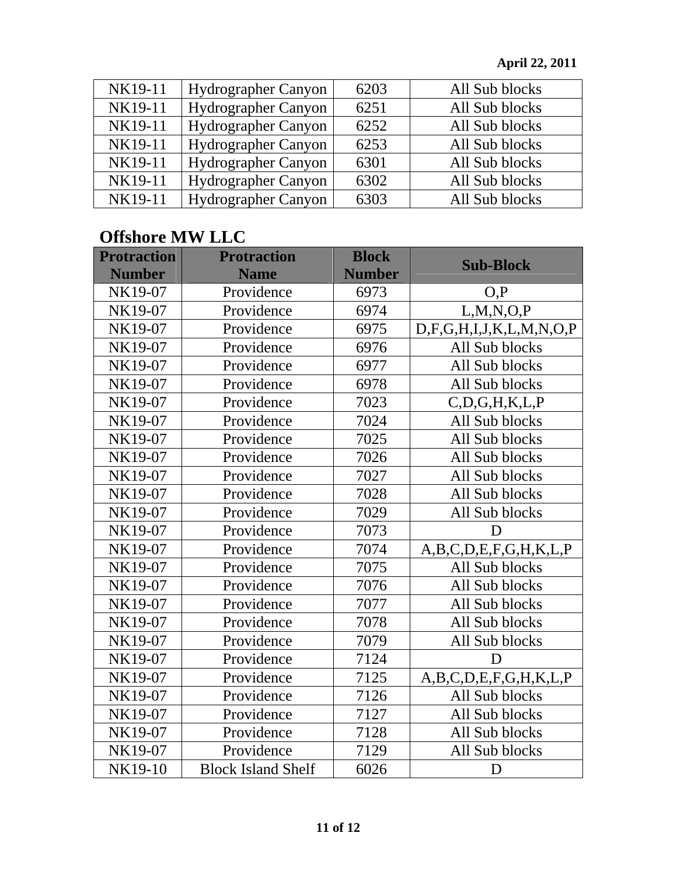| NK19-11 | <b>Hydrographer Canyon</b> | 6203 | All Sub blocks |
|---------|----------------------------|------|----------------|
| NK19-11 | Hydrographer Canyon        | 6251 | All Sub blocks |
| NK19-11 | Hydrographer Canyon        | 6252 | All Sub blocks |
| NK19-11 | <b>Hydrographer Canyon</b> | 6253 | All Sub blocks |
| NK19-11 | Hydrographer Canyon        | 6301 | All Sub blocks |
| NK19-11 | Hydrographer Canyon        | 6302 | All Sub blocks |
| NK19-11 | Hydrographer Canyon        | 6303 | All Sub blocks |

## **Offshore MW LLC**

| <b>Protraction</b><br><b>Number</b> | <b>Protraction</b><br><b>Name</b> | <b>Block</b><br><b>Number</b> | <b>Sub-Block</b>        |
|-------------------------------------|-----------------------------------|-------------------------------|-------------------------|
|                                     |                                   |                               |                         |
| NK19-07                             | Providence                        | 6973                          | O, P                    |
| NK19-07                             | Providence                        | 6974                          | L, M, N, O, P           |
| NK19-07                             | Providence                        | 6975                          | D,F,G,H,I,J,K,L,M,N,O,P |
| NK19-07                             | Providence                        | 6976                          | All Sub blocks          |
| NK19-07                             | Providence                        | 6977                          | All Sub blocks          |
| NK19-07                             | Providence                        | 6978                          | All Sub blocks          |
| NK19-07                             | Providence                        | 7023                          | C, D, G, H, K, L, P     |
| NK19-07                             | Providence                        | 7024                          | All Sub blocks          |
| NK19-07                             | Providence                        | 7025                          | All Sub blocks          |
| NK19-07                             | Providence                        | 7026                          | All Sub blocks          |
| NK19-07                             | Providence                        | 7027                          | All Sub blocks          |
| NK19-07                             | Providence                        | 7028                          | All Sub blocks          |
| NK19-07                             | Providence                        | 7029                          | All Sub blocks          |
| NK19-07                             | Providence                        | 7073                          | D                       |
| NK19-07                             | Providence                        | 7074                          | A,B,C,D,E,F,G,H,K,L,P   |
| NK19-07                             | Providence                        | 7075                          | All Sub blocks          |
| NK19-07                             | Providence                        | 7076                          | All Sub blocks          |
| NK19-07                             | Providence                        | 7077                          | All Sub blocks          |
| NK19-07                             | Providence                        | 7078                          | All Sub blocks          |
| NK19-07                             | Providence                        | 7079                          | All Sub blocks          |
| NK19-07                             | Providence                        | 7124                          | D                       |
| NK19-07                             | Providence                        | 7125                          | A,B,C,D,E,F,G,H,K,L,P   |
| NK19-07                             | Providence                        | 7126                          | All Sub blocks          |
| NK19-07                             | Providence                        | 7127                          | All Sub blocks          |
| NK19-07                             | Providence                        | 7128                          | All Sub blocks          |
| NK19-07                             | Providence                        | 7129                          | All Sub blocks          |
| NK19-10                             | <b>Block Island Shelf</b>         | 6026                          | D                       |